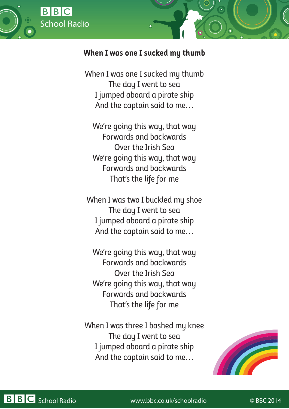

## **When I was one I sucked my thumb**

When I was one I sucked my thumb The day I went to sea I jumped aboard a pirate ship And the captain said to me…

We're going this way, that way Forwards and backwards Over the Irish Sea We're going this way, that way Forwards and backwards That's the life for me

When I was two I buckled my shoe The day I went to sea I jumped aboard a pirate ship And the captain said to me…

We're going this way, that way Forwards and backwards Over the Irish Sea We're going this way, that way Forwards and backwards That's the life for me

When I was three I bashed my knee The day I went to sea I jumped aboard a pirate ship And the captain said to me…